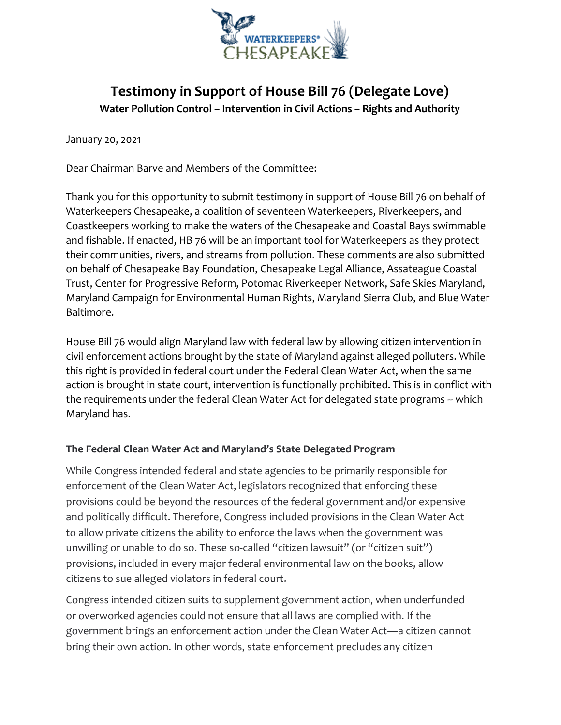

# **Testimony in Support of House Bill 76 (Delegate Love) Water Pollution Control – Intervention in Civil Actions – Rights and Authority**

January 20, 2021

Dear Chairman Barve and Members of the Committee:

Thank you for this opportunity to submit testimony in support of House Bill 76 on behalf of Waterkeepers Chesapeake, a coalition of seventeen Waterkeepers, Riverkeepers, and Coastkeepers working to make the waters of the Chesapeake and Coastal Bays swimmable and fishable. If enacted, HB 76 will be an important tool for Waterkeepers as they protect their communities, rivers, and streams from pollution. These comments are also submitted on behalf of Chesapeake Bay Foundation, Chesapeake Legal Alliance, Assateague Coastal Trust, Center for Progressive Reform, Potomac Riverkeeper Network, Safe Skies Maryland, Maryland Campaign for Environmental Human Rights, Maryland Sierra Club, and Blue Water Baltimore.

House Bill 76 would align Maryland law with federal law by allowing citizen intervention in civil enforcement actions brought by the state of Maryland against alleged polluters. While this right is provided in federal court under the Federal Clean Water Act, when the same action is brought in state court, intervention is functionally prohibited. This is in conflict with the requirements under the federal Clean Water Act for delegated state programs -- which Maryland has.

#### **The Federal Clean Water Act and Maryland's State Delegated Program**

While Congress intended federal and state agencies to be primarily responsible for enforcement of the Clean Water Act, legislators recognized that enforcing these provisions could be beyond the resources of the federal government and/or expensive and politically difficult. Therefore, Congress included provisions in the Clean Water Act to allow private citizens the ability to enforce the laws when the government was unwilling or unable to do so. These so-called "citizen lawsuit" (or "citizen suit") provisions, included in every major federal environmental law on the books, allow citizens to sue alleged violators in federal court.

Congress intended citizen suits to supplement government action, when underfunded or overworked agencies could not ensure that all laws are complied with. If the government brings an enforcement action under the Clean Water Act—a citizen cannot bring their own action. In other words, state enforcement precludes any citizen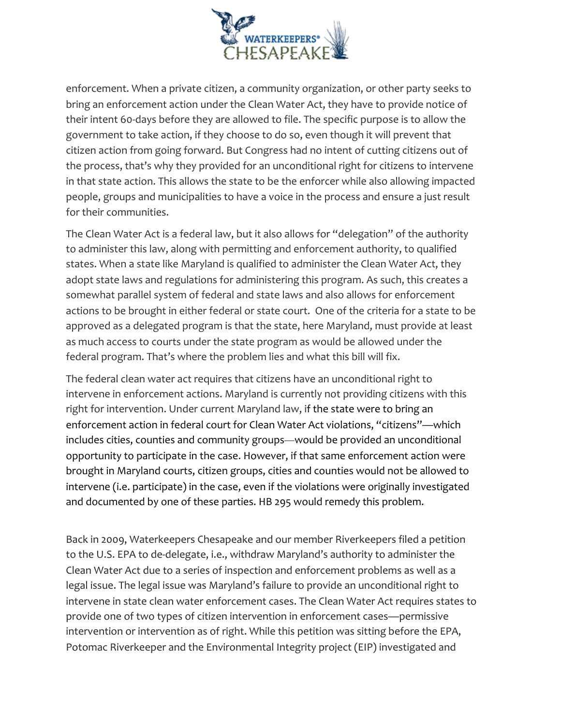

enforcement. When a private citizen, a community organization, or other party seeks to bring an enforcement action under the Clean Water Act, they have to provide notice of their intent 60-days before they are allowed to file. The specific purpose is to allow the government to take action, if they choose to do so, even though it will prevent that citizen action from going forward. But Congress had no intent of cutting citizens out of the process, that's why they provided for an unconditional right for citizens to intervene in that state action. This allows the state to be the enforcer while also allowing impacted people, groups and municipalities to have a voice in the process and ensure a just result for their communities.

The Clean Water Act is a federal law, but it also allows for "delegation" of the authority to administer this law, along with permitting and enforcement authority, to qualified states. When a state like Maryland is qualified to administer the Clean Water Act, they adopt state laws and regulations for administering this program. As such, this creates a somewhat parallel system of federal and state laws and also allows for enforcement actions to be brought in either federal or state court. One of the criteria for a state to be approved as a delegated program is that the state, here Maryland, must provide at least as much access to courts under the state program as would be allowed under the federal program. That's where the problem lies and what this bill will fix.

The federal clean water act requires that citizens have an unconditional right to intervene in enforcement actions. Maryland is currently not providing citizens with this right for intervention. Under current Maryland law, if the state were to bring an enforcement action in federal court for Clean Water Act violations, "citizens"—which includes cities, counties and community groups—would be provided an unconditional opportunity to participate in the case. However, if that same enforcement action were brought in Maryland courts, citizen groups, cities and counties would not be allowed to intervene (i.e. participate) in the case, even if the violations were originally investigated and documented by one of these parties. HB 295 would remedy this problem.

Back in 2009, Waterkeepers Chesapeake and our member Riverkeepers filed a petition to the U.S. EPA to de-delegate, i.e., withdraw Maryland's authority to administer the Clean Water Act due to a series of inspection and enforcement problems as well as a legal issue. The legal issue was Maryland's failure to provide an unconditional right to intervene in state clean water enforcement cases. The Clean Water Act requires states to provide one of two types of citizen intervention in enforcement cases—permissive intervention or intervention as of right. While this petition was sitting before the EPA, Potomac Riverkeeper and the Environmental Integrity project (EIP) investigated and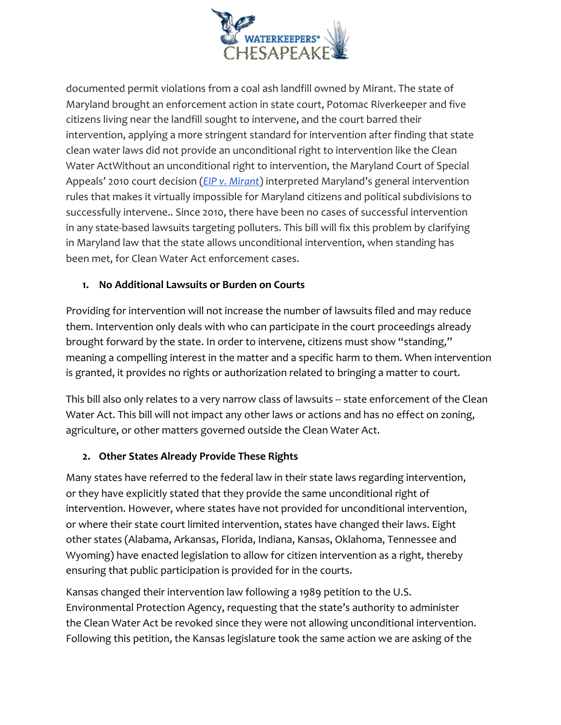

documented permit violations from a coal ash landfill owned by Mirant. The state of Maryland brought an enforcement action in state court, Potomac Riverkeeper and five citizens living near the landfill sought to intervene, and the court barred their intervention, applying a more stringent standard for intervention after finding that state clean water laws did not provide an unconditional right to intervention like the Clean Water ActWithout an unconditional right to intervention, the Maryland Court of Special Appeals' 2010 court decision (*[EIP v. Mirant](https://law.justia.com/cases/maryland/court-of-special-appeals/2010/1779s09-1.html)*) interpreted Maryland's general intervention rules that makes it virtually impossible for Maryland citizens and political subdivisions to successfully intervene.. Since 2010, there have been no cases of successful intervention in any state-based lawsuits targeting polluters. This bill will fix this problem by clarifying in Maryland law that the state allows unconditional intervention, when standing has been met, for Clean Water Act enforcement cases.

## **1. No Additional Lawsuits or Burden on Courts**

Providing for intervention will not increase the number of lawsuits filed and may reduce them. Intervention only deals with who can participate in the court proceedings already brought forward by the state. In order to intervene, citizens must show "standing," meaning a compelling interest in the matter and a specific harm to them. When intervention is granted, it provides no rights or authorization related to bringing a matter to court.

This bill also only relates to a very narrow class of lawsuits -- state enforcement of the Clean Water Act. This bill will not impact any other laws or actions and has no effect on zoning, agriculture, or other matters governed outside the Clean Water Act.

#### **2. Other States Already Provide These Rights**

Many states have referred to the federal law in their state laws regarding intervention, or they have explicitly stated that they provide the same unconditional right of intervention. However, where states have not provided for unconditional intervention, or where their state court limited intervention, states have changed their laws. Eight other states (Alabama, Arkansas, Florida, Indiana, Kansas, Oklahoma, Tennessee and Wyoming) have enacted legislation to allow for citizen intervention as a right, thereby ensuring that public participation is provided for in the courts.

Kansas changed their intervention law following a 1989 petition to the U.S. Environmental Protection Agency, requesting that the state's authority to administer the Clean Water Act be revoked since they were not allowing unconditional intervention. Following this petition, the Kansas legislature took the same action we are asking of the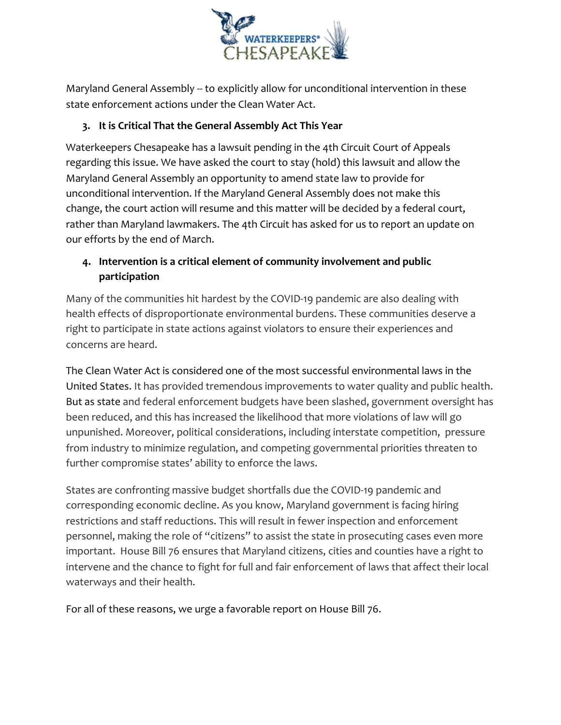

Maryland General Assembly -- to explicitly allow for unconditional intervention in these state enforcement actions under the Clean Water Act.

## **3. It is Critical That the General Assembly Act This Year**

Waterkeepers Chesapeake has a lawsuit pending in the 4th Circuit Court of Appeals regarding this issue. We have asked the court to stay (hold) this lawsuit and allow the Maryland General Assembly an opportunity to amend state law to provide for unconditional intervention. If the Maryland General Assembly does not make this change, the court action will resume and this matter will be decided by a federal court, rather than Maryland lawmakers. The 4th Circuit has asked for us to report an update on our efforts by the end of March.

# **4. Intervention is a critical element of community involvement and public participation**

Many of the communities hit hardest by the COVID-19 pandemic are also dealing with health effects of disproportionate environmental burdens. These communities deserve a right to participate in state actions against violators to ensure their experiences and concerns are heard.

The Clean Water Act is considered one of the most successful environmental laws in the United States. It has provided tremendous improvements to water quality and public health. But as state and federal enforcement budgets have been slashed, government oversight has been reduced, and this has increased the likelihood that more violations of law will go unpunished. Moreover, political considerations, including interstate competition, pressure from industry to minimize regulation, and competing governmental priorities threaten to further compromise states' ability to enforce the laws.

States are confronting massive budget shortfalls due the COVID-19 pandemic and corresponding economic decline. As you know, Maryland government is facing hiring restrictions and staff reductions. This will result in fewer inspection and enforcement personnel, making the role of "citizens" to assist the state in prosecuting cases even more important. House Bill 76 ensures that Maryland citizens, cities and counties have a right to intervene and the chance to fight for full and fair enforcement of laws that affect their local waterways and their health.

For all of these reasons, we urge a favorable report on House Bill 76.